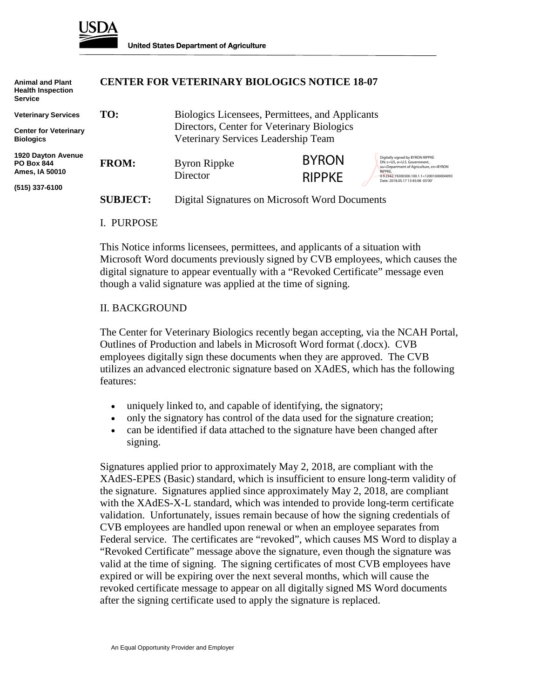

| <b>Animal and Plant</b><br><b>Health Inspection</b><br><b>Service</b> |                 | <b>CENTER FOR VETERINARY BIOLOGICS NOTICE 18-07</b>                               |               |                                                                               |
|-----------------------------------------------------------------------|-----------------|-----------------------------------------------------------------------------------|---------------|-------------------------------------------------------------------------------|
| <b>Veterinary Services</b>                                            | TO:             | Biologics Licensees, Permittees, and Applicants                                   |               |                                                                               |
| <b>Center for Veterinary</b>                                          |                 | Directors, Center for Veterinary Biologics<br>Veterinary Services Leadership Team |               |                                                                               |
| <b>Biologics</b>                                                      |                 |                                                                                   |               |                                                                               |
| <b>1920 Dayton Avenue</b>                                             |                 |                                                                                   | <b>BYRON</b>  | Digitally signed by BYRON RIPPKE<br>DN: c=US, o=U.S. Government,              |
| <b>PO Box 844</b><br>Ames, IA 50010                                   | <b>FROM:</b>    | <b>Byron Rippke</b>                                                               |               | ou=Department of Agriculture, cn=BYRON<br><b>RIPPKF</b>                       |
|                                                                       |                 | Director                                                                          | <b>RIPPKE</b> | 0.9.2342.19200300.100.1.1=12001000004093<br>Date: 2018.05.17 13:45:08 -05'00' |
| (515) 337-6100                                                        |                 |                                                                                   |               |                                                                               |
|                                                                       | <b>SUBJECT:</b> | Digital Signatures on Microsoft Word Documents                                    |               |                                                                               |

#### I. PURPOSE

This Notice informs licensees, permittees, and applicants of a situation with Microsoft Word documents previously signed by CVB employees, which causes the digital signature to appear eventually with a "Revoked Certificate" message even though a valid signature was applied at the time of signing.

### II. BACKGROUND

The Center for Veterinary Biologics recently began accepting, via the NCAH Portal, Outlines of Production and labels in Microsoft Word format (.docx). CVB employees digitally sign these documents when they are approved. The CVB utilizes an advanced electronic signature based on XAdES, which has the following features:

- uniquely linked to, and capable of identifying, the signatory;
- only the signatory has control of the data used for the signature creation;
- can be identified if data attached to the signature have been changed after signing.

Signatures applied prior to approximately May 2, 2018, are compliant with the XAdES-EPES (Basic) standard, which is insufficient to ensure long-term validity of the signature. Signatures applied since approximately May 2, 2018, are compliant with the XAdES-X-L standard, which was intended to provide long-term certificate validation. Unfortunately, issues remain because of how the signing credentials of CVB employees are handled upon renewal or when an employee separates from Federal service. The certificates are "revoked", which causes MS Word to display a "Revoked Certificate" message above the signature, even though the signature was valid at the time of signing. The signing certificates of most CVB employees have expired or will be expiring over the next several months, which will cause the revoked certificate message to appear on all digitally signed MS Word documents after the signing certificate used to apply the signature is replaced.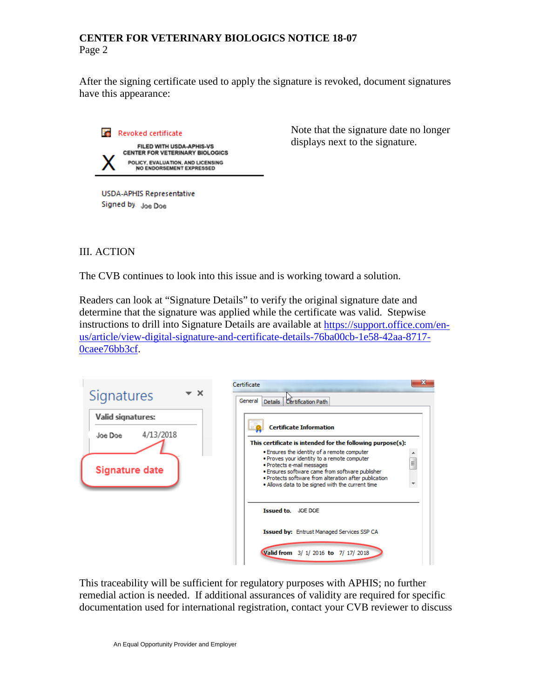## **CENTER FOR VETERINARY BIOLOGICS NOTICE 18-07** Page 2

After the signing certificate used to apply the signature is revoked, document signatures have this appearance:



Note that the signature date no longer displays next to the signature.

Signed by. Joe Doe

# III. ACTION

The CVB continues to look into this issue and is working toward a solution.

Readers can look at "Signature Details" to verify the original signature date and determine that the signature was applied while the certificate was valid. Stepwise instructions to drill into Signature Details are available at [https://support.office.com/en](https://support.office.com/en-us/article/view-digital-signature-and-certificate-details-76ba00cb-1e58-42aa-8717-0caee76bb3cf)[us/article/view-digital-signature-and-certificate-details-76ba00cb-1e58-42aa-8717-](https://support.office.com/en-us/article/view-digital-signature-and-certificate-details-76ba00cb-1e58-42aa-8717-0caee76bb3cf) [0caee76bb3cf.](https://support.office.com/en-us/article/view-digital-signature-and-certificate-details-76ba00cb-1e58-42aa-8717-0caee76bb3cf)

| · x<br>Signatures                         | x<br>Certificate<br>General<br>Certification Path<br>Details                                                                                                                                                                                                                                  |
|-------------------------------------------|-----------------------------------------------------------------------------------------------------------------------------------------------------------------------------------------------------------------------------------------------------------------------------------------------|
| Valid signatures:<br>4/13/2018<br>Joe Doe | <b>Certificate Information</b>                                                                                                                                                                                                                                                                |
|                                           | This certificate is intended for the following purpose(s):                                                                                                                                                                                                                                    |
| <b>Signature date</b>                     | . Ensures the identity of a remote computer<br>. Proves your identity to a remote computer<br>Ξ<br>· Protects e-mail messages<br>. Ensures software came from software publisher<br>. Protects software from alteration after publication<br>. Allows data to be signed with the current time |
|                                           | Issued to, JOE DOE                                                                                                                                                                                                                                                                            |
|                                           | <b>Issued by: Entrust Managed Services SSP CA</b>                                                                                                                                                                                                                                             |
|                                           | Valid from 3/ 1/ 2016 to 7/ 17/ 2018                                                                                                                                                                                                                                                          |

This traceability will be sufficient for regulatory purposes with APHIS; no further remedial action is needed. If additional assurances of validity are required for specific documentation used for international registration, contact your CVB reviewer to discuss